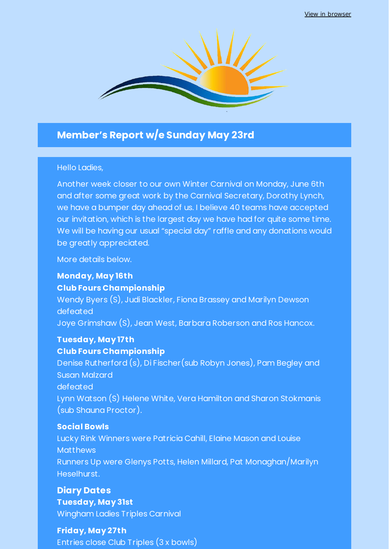View in browser



# **Member's Report w/e Sunday May 23rd**

#### Hello Ladies,

Another week closer to our own Winter Carnival on Monday, June 6th and after some great work by the Carnival Secretary, Dorothy Lynch, we have a bumper day ahead of us. I believe 40 teams have accepted our invitation, which is the largest day we have had for quite some time. We will be having our usual "special day" raffle and any donations would be greatly appreciated.

More details below.

# **Monday, May 16th Club Fours Championship**

Wendy Byers (S), Judi Blackler, Fiona Brassey and Marilyn Dewson defeated Joye Grimshaw (S), Jean West, Barbara Roberson and Ros Hancox.

## **Tuesday, May 17th Club Fours Championship**

Denise Rutherford (s), Di Fischer(sub Robyn Jones), Pam Begley and Susan Malzard defeated Lynn Watson (S) Helene White, Vera Hamilton and Sharon Stokmanis (sub Shauna Proctor).

## **Social Bowls**

Lucky Rink Winners were Patricia Cahill, Elaine Mason and Louise **Matthews** Runners Up were Glenys Potts, Helen Millard, Pat Monaghan/Marilyn Heselhurst.

# **Diary Dates Tuesday, May 31st** Wingham Ladies Triples Carnival

**Friday, May 27th** Entries close Club Triples (3 x bowls)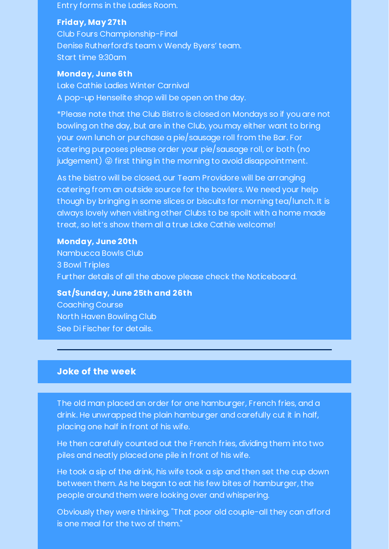Entry forms in the Ladies Room.

#### **Friday, May 27th**

Club Fours Championship-Final Denise Rutherford's team v Wendy Byers' team. Start time 9:30am

#### **Monday, June 6th**

Lake Cathie Ladies Winter Carnival A pop-up Henselite shop will be open on the day.

\*Please note that the Club Bistro is closed on Mondays so if you are not bowling on the day, but are in the Club, you may either want to bring your own lunch or purchase a pie/sausage roll from the Bar. For catering purposes please order your pie/sausage roll, or both (no judgement)  $\circledcirc$  first thing in the morning to avoid disappointment.

As the bistro will be closed, our Team Providore will be arranging catering from an outside source for the bowlers. We need your help though by bringing in some slices or biscuits for morning tea/lunch. It is always lovely when visiting other Clubs to be spoilt with a home made treat, so let's show them all a true Lake Cathie welcome!

#### **Monday, June 20th**

Nambucca Bowls Club 3 Bowl Triples Further details of all the above please check the Noticeboard.

**Sat/Sunday, June 25th and 26th**

Coaching Course North Haven Bowling Club See Di Fischer for details.

#### **Joke of the week**

The old man placed an order for one hamburger, French fries, and a drink. He unwrapped the plain hamburger and carefully cut it in half, placing one half in front of his wife.

He then carefully counted out the French fries, dividing them into two piles and neatly placed one pile in front of his wife.

He took a sip of the drink, his wife took a sip and then set the cup down between them. As he began to eat his few bites of hamburger, the people around them were looking over and whispering.

Obviously they were thinking, "That poor old couple-all they can afford is one meal for the two of them."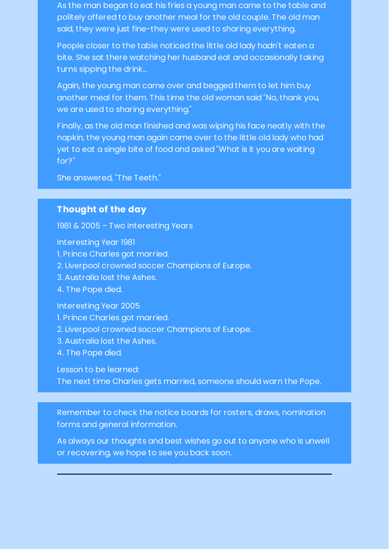As the man began to eat his fries a young man came to the table and politely offered to buy another meal for the old couple. The old man said, they were just fine-they were used to sharing everything.

People closer to the table noticed the little old lady hadn't eaten a bite. She sat there watching her husband eat and occasionally taking turns sipping the drink...

Again, the young man came over and begged them to let him buy another meal for them. This time the old woman said "No, thank you, we are used to sharing everything."

Finally, as the old man finished and was wiping his face neatly with the napkin, the young man again came over to the little old lady who had yet to eat a single bite of food and asked "What is it you are waiting for?"

She answered, "The Teeth."

## **Thought of the day**

1981 & 2005 – Two Interesting Years

Interesting Year 1981 1. Prince Charles got married. 2. Liverpool crowned soccer Champions of Europe. 3. Australia lost the Ashes. 4. The Pope died. Interesting Year 2005 1. Prince Charles got married. 2. Liverpool crowned soccer Champions of Europe. 3. Australia lost the Ashes. 4. The Pope died.

Lesson to be learned:

The next time Charles gets married, someone should warn the Pope.

Remember to check the notice boards for rosters, draws, nomination forms and general information.

As always our thoughts and best wishes go out to anyone who is unwell or recovering, we hope to see you back soon.